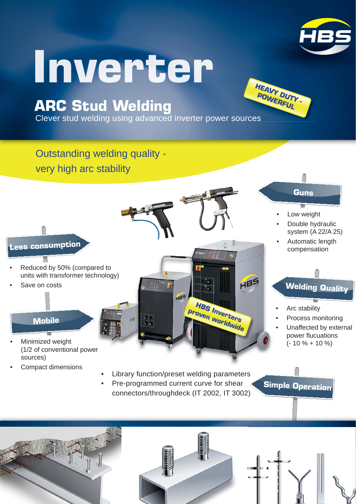

## Inverter

## **ARC Stud Welding**

Clever stud welding using advanced inverter power sources **HEAVY DUTY -**<br>POWERFUL<br>urces

Outstanding welding quality very high arc stability



- Reduced by 50% (compared to units with transformer technology)
- Save on costs

## **Mobile**

- Minimized weight (1/2 of conventional power sources)
- Compact dimensions

## Library function/preset welding parameters

HBS

**HBS Inverters proven worldwide**

HBS

• Pre-programmed current curve for shear connectors/throughdeck (IT 2002, IT 3002) **Simple Operation**

**Welding Quality**

Process monitoring Unaffected by external power flucuations  $(-10\% + 10\%)$ 

• Arc stability

**Guns**

**POWERFUL** 

Low weight

Double hydraulic system (A 22/A 25) • Automatic length compensation